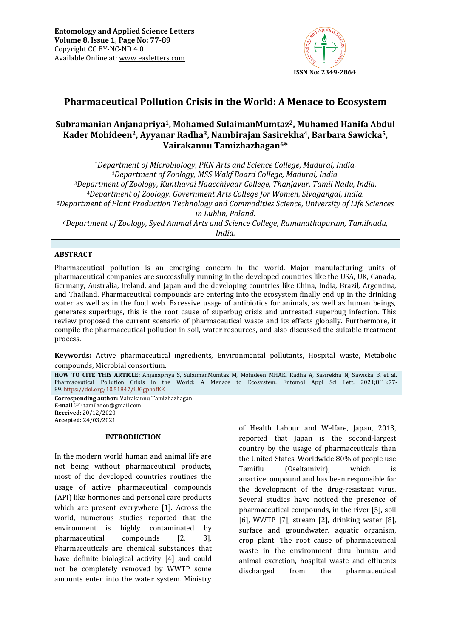

# **Pharmaceutical Pollution Crisis in the World: A Menace to Ecosystem**

## **Subramanian Anjanapriya1, Mohamed SulaimanMumtaz2, Muhamed Hanifa Abdul Kader Mohideen2, Ayyanar Radha3, Nambirajan Sasirekha4, Barbara Sawicka5, Vairakannu Tamizhazhagan6\***

*Department of Microbiology, PKN Arts and Science College, Madurai, India. Department of Zoology, MSS Wakf Board College, Madurai, India. Department of Zoology, Kunthavai Naacchiyaar College, Thanjavur, Tamil Nadu, India. Department of Zoology, Government Arts College for Women, Sivagangai, India. Department of Plant Production Technology and Commodities Science, University of Life Sciences in Lublin, Poland. Department of Zoology, Syed Ammal Arts and Science College, Ramanathapuram, Tamilnadu, India.*

#### **ABSTRACT**

Pharmaceutical pollution is an emerging concern in the world. Major manufacturing units of pharmaceutical companies are successfully running in the developed countries like the USA, UK, Canada, Germany, Australia, Ireland, and Japan and the developing countries like China, India, Brazil, Argentina, and Thailand. Pharmaceutical compounds are entering into the ecosystem finally end up in the drinking water as well as in the food web. Excessive usage of antibiotics for animals, as well as human beings, generates superbugs, this is the root cause of superbug crisis and untreated superbug infection. This review proposed the current scenario of pharmaceutical waste and its effects globally. Furthermore, it compile the pharmaceutical pollution in soil, water resources, and also discussed the suitable treatment process.

**Keywords:** Active pharmaceutical ingredients, Environmental pollutants, Hospital waste, Metabolic compounds, Microbial consortium*.*

**HOW TO CITE THIS ARTICLE:** Anjanapriya S, SulaimanMumtaz M, Mohideen MHAK, Radha A, Sasirekha N, Sawicka B, et al. Pharmaceutical Pollution Crisis in the World: A Menace to Ecosystem. Entomol Appl Sci Lett. 2021;8(1):77- 89. <https://doi.org/10.51847/iUGgphofKK>

**Corresponding author:** Vairakannu Tamizhazhagan **E-mail** ⊠[: tamilzoon@gmail.com](mailto:tamilzoon@gmail.com) **Received:** 20/12/2020 **Accepted:** 24/03/2021

#### **INTRODUCTION**

In the modern world human and animal life are not being without pharmaceutical products, most of the developed countries routines the usage of active pharmaceutical compounds (API) like hormones and personal care products which are present everywhere [1]. Across the world, numerous studies reported that the environment is highly contaminated by pharmaceutical compounds [2, 3]. Pharmaceuticals are chemical substances that have definite biological activity [4] and could not be completely removed by WWTP some amounts enter into the water system. Ministry of Health Labour and Welfare, Japan, 2013, reported that Japan is the second-largest country by the usage of pharmaceuticals than the United States. Worldwide 80% of people use Tamiflu (Oseltamivir), which is anactivecompound and has been responsible for the development of the drug-resistant virus. Several studies have noticed the presence of pharmaceutical compounds, in the river [5], soil [6], WWTP [7], stream [2], drinking water [8], surface and groundwater, aquatic organism, crop plant. The root cause of pharmaceutical waste in the environment thru human and animal excretion, hospital waste and effluents discharged from the pharmaceutical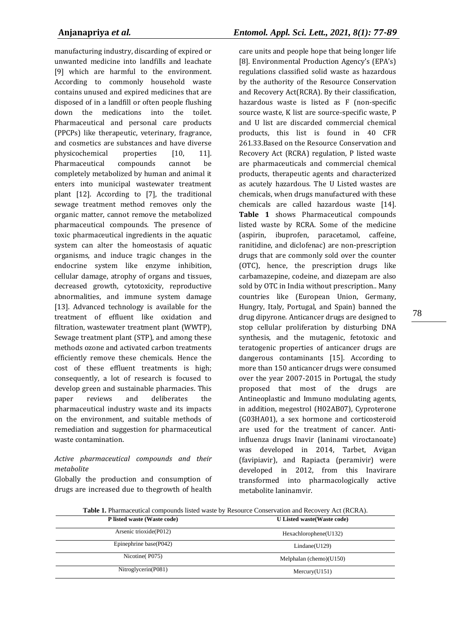manufacturing industry, discarding of expired or unwanted medicine into landfills and leachate [9] which are harmful to the environment. According to commonly household waste contains unused and expired medicines that are disposed of in a landfill or often people flushing down the medications into the toilet. Pharmaceutical and personal care products (PPCPs) like therapeutic, veterinary, fragrance, and cosmetics are substances and have diverse physicochemical properties [10, 11]. Pharmaceutical compounds cannot be completely metabolized by human and animal it enters into municipal wastewater treatment plant [12]. According to [7], the traditional sewage treatment method removes only the organic matter, cannot remove the metabolized pharmaceutical compounds. The presence of toxic pharmaceutical ingredients in the aquatic system can alter the homeostasis of aquatic organisms, and induce tragic changes in the endocrine system like enzyme inhibition, cellular damage, atrophy of organs and tissues, decreased growth, cytotoxicity, reproductive abnormalities, and immune system damage [13]. Advanced technology is available for the treatment of effluent like oxidation and filtration, wastewater treatment plant (WWTP), Sewage treatment plant (STP), and among these methods ozone and activated carbon treatments efficiently remove these chemicals. Hence the cost of these effluent treatments is high; consequently, a lot of research is focused to develop green and sustainable pharmacies. This paper reviews and deliberates the pharmaceutical industry waste and its impacts on the environment, and suitable methods of remediation and suggestion for pharmaceutical waste contamination.

### *Active pharmaceutical compounds and their metabolite*

Globally the production and consumption of drugs are increased due to thegrowth of health

care units and people hope that being longer life [8]. Environmental Production Agency's (EPA's) regulations classified solid waste as hazardous by the authority of the Resource Conservation and Recovery Act(RCRA). By their classification, hazardous waste is listed as F (non-specific source waste, K list are source-specific waste, P and U list are discarded commercial chemical products, this list is found in 40 CFR 261.33.Based on the Resource Conservation and Recovery Act (RCRA) regulation, P listed waste are pharmaceuticals and commercial chemical products, therapeutic agents and characterized as acutely hazardous. The U Listed wastes are chemicals, when drugs manufactured with these chemicals are called hazardous waste [14]. **Table 1** shows Pharmaceutical compounds listed waste by RCRA. Some of the medicine (aspirin, ibuprofen, paracetamol, caffeine, ranitidine, and diclofenac) are non-prescription drugs that are commonly sold over the counter (OTC), hence, the prescription drugs like carbamazepine, codeine, and diazepam are also sold by OTC in India without prescription.. Many countries like (European Union, Germany, Hungry, Italy, Portugal, and Spain) banned the drug dipyrone. Anticancer drugs are designed to stop cellular proliferation by disturbing DNA synthesis, and the mutagenic, fetotoxic and teratogenic properties of anticancer drugs are dangerous contaminants [15]. According to more than 150 anticancer drugs were consumed over the year 2007-2015 in Portugal, the study proposed that most of the drugs are Antineoplastic and Immuno modulating agents, in addition, megestrol (H02AB07), Cyproterone (G03HA01), a sex hormone and corticosteroid are used for the treatment of cancer. Antiinfluenza drugs Inavir (laninami viroctanoate) was developed in 2014, Tarbet, Avigan (favipiavir), and Rapiacta (peramivir) were developed in 2012, from this Inavirare transformed into pharmacologically active metabolite laninamvir.

**Table 1.** Pharmaceutical compounds listed waste by Resource Conservation and Recovery Act (RCRA).

| P listed waste (Waste code) | U Listed waste (Waste code) |  |  |
|-----------------------------|-----------------------------|--|--|
| Arsenic trioxide(P012)      | Hexachlorophene(U132)       |  |  |
| Epinephrine base(P042)      | Lindane(U129)               |  |  |
| Nicotine(P075)              | Melphalan (chemo) $(U150)$  |  |  |
| Nitroglycerin(P081)         | Mercury(U151)               |  |  |
|                             |                             |  |  |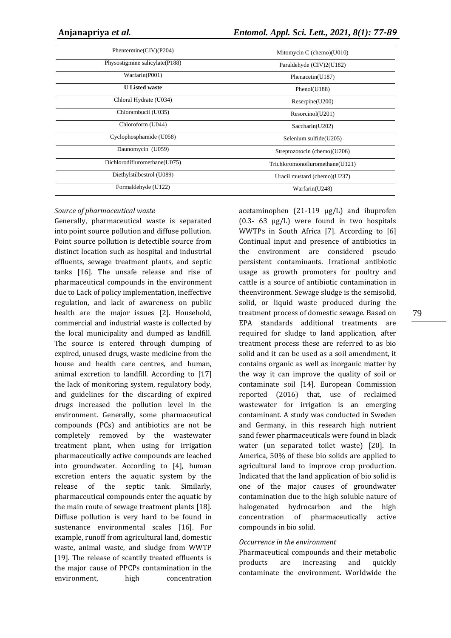| Phentermine( $CIV$ )( $P204$ ) | Mitomycin C (chemo) $(U010)$    |
|--------------------------------|---------------------------------|
| Physostigmine salicylate(P188) | Paraldehyde (CIV)2(U182)        |
| Warfarin(P001)                 | Phenacetin(U187)                |
| <b>U</b> Listed waste          | Phenol(U188)                    |
| Chloral Hydrate (U034)         | Reserpine(U200)                 |
| Chlorambucil (U035)            | Resorcinol(U201)                |
| Chloroform (U044)              | Saccharin(U202)                 |
| Cyclophosphamide (U058)        | Selenium sulfide(U205)          |
| Daunomycin (U059)              | Streptozotocin (chemo)(U206)    |
| Dichlorodifluromethane(U075)   | Trichloromonofluromethane(U121) |
| Diethylstilbestrol (U089)      | Uracil mustard (chemo)(U237)    |
| Formaldehyde (U122)            | Warfarin(U248)                  |

#### *Source of pharmaceutical waste*

Generally, pharmaceutical waste is separated into point source pollution and diffuse pollution. Point source pollution is detectible source from distinct location such as hospital and industrial effluents, sewage treatment plants, and septic tanks [16]. The unsafe release and rise of pharmaceutical compounds in the environment due to Lack of policy implementation, ineffective regulation, and lack of awareness on public health are the major issues [2]. Household, commercial and industrial waste is collected by the local municipality and dumped as landfill. The source is entered through dumping of expired, unused drugs, waste medicine from the house and health care centres, and human, animal excretion to landfill. According to [17] the lack of monitoring system, regulatory body, and guidelines for the discarding of expired drugs increased the pollution level in the environment. Generally, some pharmaceutical compounds (PCs) and antibiotics are not be completely removed by the wastewater treatment plant, when using for irrigation pharmaceutically active compounds are leached into groundwater. According to [4], human excretion enters the aquatic system by the release of the septic tank. Similarly, pharmaceutical compounds enter the aquatic by the main route of sewage treatment plants [18]. Diffuse pollution is very hard to be found in sustenance environmental scales [16]. For example, runoff from agricultural land, domestic waste, animal waste, and sludge from WWTP [19]. The release of scantily treated effluents is the major cause of PPCPs contamination in the environment, high concentration

acetaminophen (21-119 µg/L) and ibuprofen  $(0.3-63 \text{ µg/L})$  were found in two hospitals WWTPs in South Africa [7]. According to [6] Continual input and presence of antibiotics in the environment are considered pseudo persistent contaminants. Irrational antibiotic usage as growth promoters for poultry and cattle is a source of antibiotic contamination in theenvironment. Sewage sludge is the semisolid, solid, or liquid waste produced during the treatment process of domestic sewage. Based on EPA standards additional treatments are required for sludge to land application, after treatment process these are referred to as bio solid and it can be used as a soil amendment, it contains organic as well as inorganic matter by the way it can improve the quality of soil or contaminate soil [14]. European Commission reported (2016) that, use of reclaimed wastewater for irrigation is an emerging contaminant. A study was conducted in Sweden and Germany, in this research high nutrient sand fewer pharmaceuticals were found in black water (un separated toilet waste) [20]. In America, 50% of these bio solids are applied to agricultural land to improve crop production. Indicated that the land application of bio solid is one of the major causes of groundwater contamination due to the high soluble nature of halogenated hydrocarbon and the high concentration of pharmaceutically active compounds in bio solid.

#### *Occurrence in the environment*

Pharmaceutical compounds and their metabolic products are increasing and quickly contaminate the environment. Worldwide the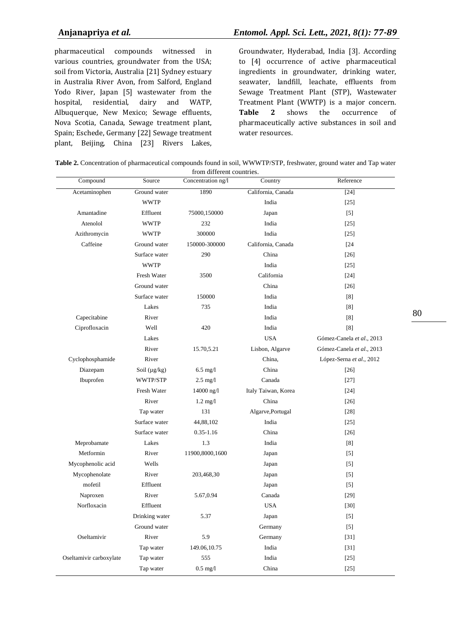pharmaceutical compounds witnessed in various countries, groundwater from the USA; soil from Victoria, Australia [21] Sydney estuary in Australia River Avon, from Salford, England Yodo River, Japan [5] wastewater from the hospital, residential, dairy and WATP, Albuquerque, New Mexico; Sewage effluents, Nova Scotia, Canada, Sewage treatment plant, Spain; Eschede, Germany [22] Sewage treatment plant, Beijing, China [23] Rivers Lakes,

Groundwater, Hyderabad, India [3]. According to [4] occurrence of active pharmaceutical ingredients in groundwater, drinking water, seawater, landfill, leachate, effluents from Sewage Treatment Plant (STP), Wastewater Treatment Plant (WWTP) is a major concern. **Table 2** shows the occurrence of pharmaceutically active substances in soil and water resources.

| Table 2. Concentration of pharmaceutical compounds found in soil, WWWTP/STP, freshwater, ground water and Tap water |  |
|---------------------------------------------------------------------------------------------------------------------|--|
| from different countries.                                                                                           |  |

| Compound                | Source            | Hom anterent countries.<br>Concentration ng/l | Country             | Reference                 |
|-------------------------|-------------------|-----------------------------------------------|---------------------|---------------------------|
| Acetaminophen           | Ground water      | 1890                                          | California, Canada  | $[24]$                    |
|                         | <b>WWTP</b>       |                                               | India               | $[25]$                    |
| Amantadine              | Effluent          | 75000,150000                                  | Japan               | $[5]$                     |
| Atenolol                | <b>WWTP</b>       | 232                                           | India               | $[25]$                    |
| Azithromycin            | <b>WWTP</b>       | 300000                                        | India               | $[25]$                    |
| Caffeine                | Ground water      | 150000-300000                                 | California, Canada  | $[24]$                    |
|                         | Surface water     | 290                                           | China               | $[26]$                    |
|                         | <b>WWTP</b>       |                                               | India               | $[25]$                    |
|                         | Fresh Water       | 3500                                          | California          | $[24]$                    |
|                         | Ground water      |                                               | China               | $[26]$                    |
|                         | Surface water     | 150000                                        | India               | [8]                       |
|                         | Lakes             | 735                                           | India               | [8]                       |
| Capecitabine            | River             |                                               | India               | [8]                       |
| Ciprofloxacin           | Well              | 420                                           | India               | [8]                       |
|                         | Lakes             |                                               | <b>USA</b>          | Gómez-Canela et al., 2013 |
|                         | River             | 15.70,5.21                                    | Lisbon, Algarve     | Gómez-Canela et al., 2013 |
| Cyclophosphamide        | River             |                                               | China,              | López-Serna et al., 2012  |
| Diazepam                | Soil $(\mu g/kg)$ | $6.5 \text{ mg/l}$                            | China               | $[26]$                    |
| Ibuprofen               | WWTP/STP          | $2.5 \text{ mg/l}$                            | Canada              | [27]                      |
|                         | Fresh Water       | 14000 ng/l                                    | Italy Taiwan, Korea | $[24]$                    |
|                         | River             | $1.2 \text{ mg}/l$                            | China               | $[26]$                    |
|                         | Tap water         | 131                                           | Algarve, Portugal   | $[28]$                    |
|                         | Surface water     | 44,88,102                                     | India               | $[25]$                    |
|                         | Surface water     | $0.35 - 1.16$                                 | China               | $[26]$                    |
| Meprobamate             | Lakes             | 1.3                                           | India               | [8]                       |
| Metformin               | River             | 11900,8000,1600                               | Japan               | $[5]$                     |
| Mycophenolic acid       | Wells             |                                               | Japan               | $[5]$                     |
| Mycophenolate           | River             | 203,468,30                                    | Japan               | $[5]$                     |
| mofetil                 | Effluent          |                                               | Japan               | $[5]$                     |
| Naproxen                | River             | 5.67,0.94                                     | Canada              | $[29]$                    |
| Norfloxacin             | Effluent          |                                               | <b>USA</b>          | $[30]$                    |
|                         | Drinking water    | 5.37                                          | Japan               | $[5]$                     |
|                         | Ground water      |                                               | Germany             | $[5]$                     |
| Oseltamivir             | River             | 5.9                                           | Germany             | $[31]$                    |
|                         | Tap water         | 149.06,10.75                                  | India               | $[31]$                    |
| Oseltamivir carboxylate | Tap water         | 555                                           | India               | $[25]$                    |
|                         | Tap water         | $0.5$ mg/l                                    | China               | $[25]$                    |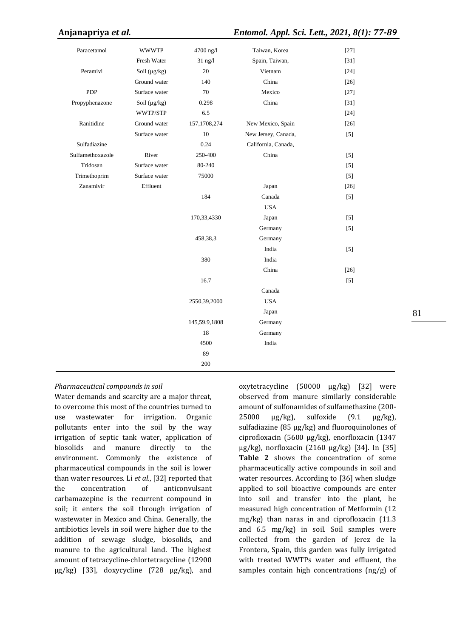| Paracetamol      | <b>WWWTP</b>      | 4700 ng/l     | Taiwan, Korea       | $[27]$                                                                                                                                                                                |
|------------------|-------------------|---------------|---------------------|---------------------------------------------------------------------------------------------------------------------------------------------------------------------------------------|
|                  | Fresh Water       | $31$ ng/l     | Spain, Taiwan,      | $[31]$                                                                                                                                                                                |
| Peramivi         | Soil $(\mu g/kg)$ | 20            | Vietnam             | $[24]$                                                                                                                                                                                |
|                  | Ground water      | 140           | China               | $[26]$                                                                                                                                                                                |
| <b>PDP</b>       | Surface water     | 70            | Mexico              | $[27]$                                                                                                                                                                                |
| Propyphenazone   | Soil $(\mu g/kg)$ | 0.298         | China               | $[31]$                                                                                                                                                                                |
|                  | WWTP/STP          | 6.5           |                     | $[24]$                                                                                                                                                                                |
| Ranitidine       | Ground water      | 157,1708,274  | New Mexico, Spain   | $[26]$                                                                                                                                                                                |
|                  | Surface water     | $10\,$        | New Jersey, Canada, | $[5]$                                                                                                                                                                                 |
| Sulfadiazine     |                   | 0.24          | California, Canada, |                                                                                                                                                                                       |
| Sulfamethoxazole | River             | 250-400       | China               | $[5]$                                                                                                                                                                                 |
| Tridosan         | Surface water     | 80-240        |                     | $[5]$                                                                                                                                                                                 |
| Trimethoprim     | Surface water     | 75000         |                     | $[5] % \begin{center} \includegraphics[width=\linewidth]{imagesSupplemental/Imit} \caption{The image shows the image shows a single number of times.} \label{fig:limal} \end{center}$ |
| Zanamivir        | Effluent          |               | Japan               | $[26]$                                                                                                                                                                                |
|                  |                   | 184           | Canada              | $[5]$                                                                                                                                                                                 |
|                  |                   |               | <b>USA</b>          |                                                                                                                                                                                       |
|                  |                   | 170,33,4330   | Japan               | $[5]$                                                                                                                                                                                 |
|                  |                   |               | Germany             | $[5]$                                                                                                                                                                                 |
|                  |                   | 458,38,3      | Germany             |                                                                                                                                                                                       |
|                  |                   |               | India               | $[5]$                                                                                                                                                                                 |
|                  |                   | 380           | India               |                                                                                                                                                                                       |
|                  |                   |               | China               | $[26]$                                                                                                                                                                                |
|                  |                   | 16.7          |                     | $[5]$                                                                                                                                                                                 |
|                  |                   |               | Canada              |                                                                                                                                                                                       |
|                  |                   | 2550,39,2000  | <b>USA</b>          |                                                                                                                                                                                       |
|                  |                   |               | Japan               |                                                                                                                                                                                       |
|                  |                   | 145,59.9,1808 | Germany             |                                                                                                                                                                                       |
|                  |                   | 18            | Germany             |                                                                                                                                                                                       |
|                  |                   | 4500          | India               |                                                                                                                                                                                       |
|                  |                   | 89            |                     |                                                                                                                                                                                       |
|                  |                   | 200           |                     |                                                                                                                                                                                       |

### *Pharmaceutical compounds in soil*

Water demands and scarcity are a major threat, to overcome this most of the countries turned to use wastewater for irrigation. Organic pollutants enter into the soil by the way irrigation of septic tank water, application of biosolids and manure directly to the environment. Commonly the existence of pharmaceutical compounds in the soil is lower than water resources. Li *et al*., [32] reported that the concentration of anticonvulsant carbamazepine is the recurrent compound in soil; it enters the soil through irrigation of wastewater in Mexico and China. Generally, the antibiotics levels in soil were higher due to the addition of sewage sludge, biosolids, and manure to the agricultural land. The highest amount of tetracycline-chlortetracycline (12900 µg/kg) [33], doxycycline (728 µg/kg), and

oxytetracycline (50000 µg/kg) [32] were observed from manure similarly considerable amount of sulfonamides of sulfamethazine (200- 25000  $\mu$ g/kg), sulfoxide  $(9.1 \mu$ g/kg), sulfadiazine (85 µg/kg) and fluoroquinolones of ciprofloxacin (5600 µg/kg), enorfloxacin (1347 µg/kg), norfloxacin (2160 µg/kg) [34]. In [35] **Table 2** shows the concentration of some pharmaceutically active compounds in soil and water resources. According to [36] when sludge applied to soil bioactive compounds are enter into soil and transfer into the plant, he measured high concentration of Metformin (12 mg/kg) than naras in and ciprofloxacin (11.3 and 6.5 mg/kg) in soil. Soil samples were collected from the garden of Jerez de la Frontera, Spain, this garden was fully irrigated with treated WWTPs water and effluent, the samples contain high concentrations (ng/g) of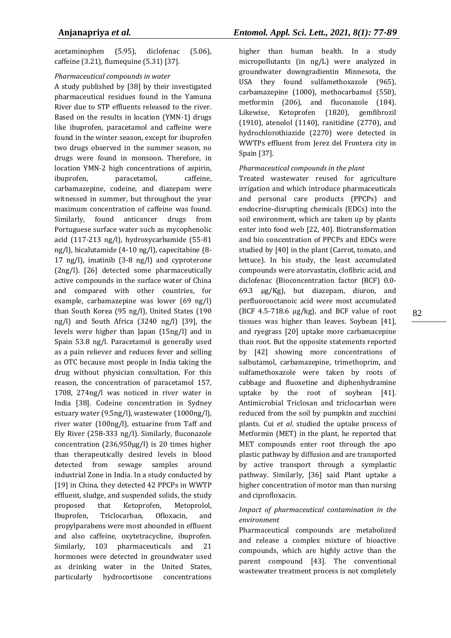acetaminophen (5.95), diclofenac (5.06), caffeine (3.21), flumequine (5.31) [37].

### *Pharmaceutical compounds in water*

A study published by [38] by their investigated pharmaceutical residues found in the Yamuna River due to STP effluents released to the river. Based on the results in location (YMN-1) drugs like ibuprofen, paracetamol and caffeine were found in the winter season, except for ibuprofen two drugs observed in the summer season, no drugs were found in monsoon. Therefore, in location YMN-2 high concentrations of aspirin, ibuprofen, paracetamol, caffeine, carbamazepine, codeine, and diazepam were witnessed in summer, but throughout the year maximum concentration of caffeine was found. Similarly, found anticancer drugs from Portuguese surface water such as mycophenolic acid (117-213 ng/l), hydroxycarbamide (55-81 ng/l), bicalutamide (4-10 ng/l), capecitabine (8- 17 ng/l), imatinib (3-8 ng/l) and cyproterone (2ng/l). [26] detected some pharmaceutically active compounds in the surface water of China and compared with other countries, for example, carbamazepine was lower (69 ng/l) than South Korea (95 ng/l), United States (190 ng/l) and South Africa (3240 ng/l) [39], the levels were higher than Japan (15ng/l) and in Spain 53.8 ng/l. Paracetamol is generally used as a pain reliever and reduces fever and selling as OTC because most people in India taking the drug without physician consultation. For this reason, the concentration of paracetamol 157, 1708, 274ng/l was noticed in river water in India [38]. Codeine concentration in Sydney estuary water (9.5ng/l), wastewater (1000ng/l), river water (100ng/l), estuarine from Taff and Ely River (258-333 ng/l). Similarly, fluconazole concentration (236,950µg/l) is 20 times higher than therapeutically desired levels in blood detected from sewage samples around industrial Zone in India. In a study conducted by [19] in China, they detected 42 PPCPs in WWTP effluent, sludge, and suspended solids, the study proposed that Ketoprofen, Metoprolol, Ibuprofen, Triclocarban, Ofloxacin, and propylparabens were most abounded in effluent and also caffeine, oxytetracycline, ibuprofen. Similarly, 103 pharmaceuticals and 21 hormones were detected in groundwater used as drinking water in the United States, particularly hydrocortisone concentrations

higher than human health. In a study micropollutants (in ng/L) were analyzed in groundwater downgradientin Minnesota, the USA they found sulfamethoxazole (965), carbamazepine (1000), methocarbamol (550), metformin (206), and fluconazole (184). Likewise, Ketoprofen (1820), gemfibrozil (1910), atenolol (1140), ranitidine (2770), and hydrochlorothiazide (2270) were detected in WWTPs effluent from Jerez del Frontera city in Spain [37].

### *Pharmaceutical compounds in the plant*

Treated wastewater reused for agriculture irrigation and which introduce pharmaceuticals and personal care products (PPCPs) and endocrine-disrupting chemicals (EDCs) into the soil environment, which are taken up by plants enter into food web [22, 40]. Biotransformation and bio concentration of PPCPs and EDCs were studied by [40] in the plant (Carrot, tomato, and lettuce). In his study, the least accumulated compounds were atorvastatin, clofibric acid, and diclofenac (Bioconcentration factor (BCF) 0.0- 69.3 µg/Kg), but diazepam, diuron, and perfluorooctanoic acid were most accumulated (BCF 4.5-718.6 µg/kg), and BCF value of root tissues was higher than leaves. Soybean [41], and ryegrass [20] uptake more carbamacepine than root. But the opposite statements reported by [42] showing more concentrations of salbutamol, carbamazepine, trimethoprim, and sulfamethoxazole were taken by roots of cabbage and fluoxetine and diphenhydramine uptake by the root of soybean [41]. Antimicrobial Triclosan and triclocarban were reduced from the soil by pumpkin and zucchini plants. Cui *et al*. studied the uptake process of Metformin (MET) in the plant, he reported that MET compounds enter root through the apo plastic pathway by diffusion and are transported by active transport through a symplastic pathway. Similarly, [36] said Plant uptake a higher concentration of motor man than nursing and ciprofloxacin.

#### *Impact of pharmaceutical contamination in the environment*

Pharmaceutical compounds are metabolized and release a complex mixture of bioactive compounds, which are highly active than the parent compound [43]. The conventional wastewater treatment process is not completely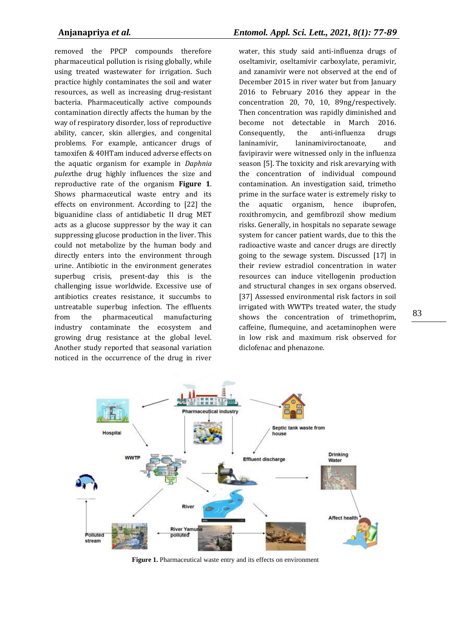removed the PPCP compounds therefore pharmaceutical pollution is rising globally, while using treated wastewater for irrigation. Such practice highly contaminates the soil and water resources, as well as increasing drug-resistant bacteria. Pharmaceutically active compounds contamination directly affects the human by the way of respiratory disorder, loss of reproductive ability, cancer, skin allergies, and congenital problems. For example, anticancer drugs of tamoxifen & 40HTam induced adverse effects on the aquatic organism for example in *Daphnia pulex*the drug highly influences the size and reproductive rate of the organism **Figure 1**. Shows pharmaceutical waste entry and its effects on environment. According to [22] the biguanidine class of antidiabetic II drug MET acts as a glucose suppressor by the way it can suppressing glucose production in the liver. This could not metabolize by the human body and directly enters into the environment through urine. Antibiotic in the environment generates superbug crisis, present-day this is the challenging issue worldwide. Excessive use of antibiotics creates resistance, it succumbs to untreatable superbug infection. The effluents from the pharmaceutical manufacturing industry contaminate the ecosystem and growing drug resistance at the global level. Another study reported that seasonal variation noticed in the occurrence of the drug in river

water, this study said anti-influenza drugs of oseltamivir, oseltamivir carboxylate, peramivir, and zanamivir were not observed at the end of December 2015 in river water but from January 2016 to February 2016 they appear in the concentration 20, 70, 10, 89ng/respectively. Then concentration was rapidly diminished and become not detectable in March 2016. Consequently, the anti-influenza drugs laninamivir, laninamiviroctanoate, and favipiravir were witnessed only in the influenza season [5]. The toxicity and risk arevarying with the concentration of individual compound contamination. An investigation said, trimetho prime in the surface water is extremely risky to the aquatic organism, hence ibuprofen, roxithromycin, and gemfibrozil show medium risks. Generally, in hospitals no separate sewage system for cancer patient wards, due to this the radioactive waste and cancer drugs are directly going to the sewage system. Discussed [17] in their review estradiol concentration in water resources can induce vitellogenin production and structural changes in sex organs observed. [37] Assessed environmental risk factors in soil irrigated with WWTPs treated water, the study shows the concentration of trimethoprim, caffeine, flumequine, and acetaminophen were in low risk and maximum risk observed for diclofenac and phenazone.



Figure 1. Pharmaceutical waste entry and its effects on environment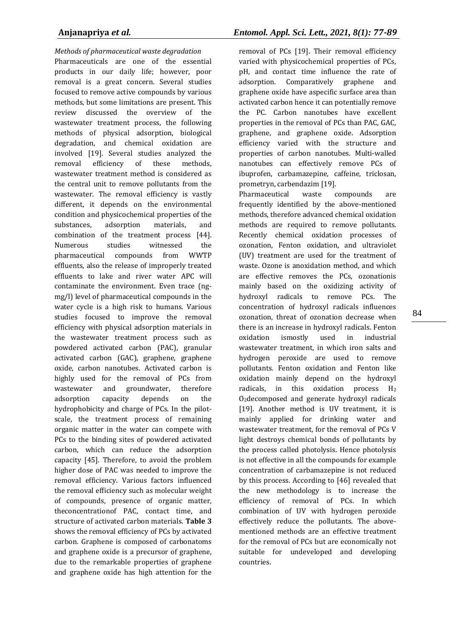*Methods of pharmaceutical waste degradation* Pharmaceuticals are one of the essential products in our daily life; however, poor removal is a great concern. Several studies focused to remove active compounds by various methods, but some limitations are present. This review discussed the overview of the wastewater treatment process, the following methods of physical adsorption, biological degradation, and chemical oxidation are involved [19]. Several studies analyzed the removal efficiency of these methods, wastewater treatment method is considered as the central unit to remove pollutants from the wastewater. The removal efficiency is vastly different, it depends on the environmental condition and physicochemical properties of the substances, adsorption materials, and combination of the treatment process [44]. Numerous studies witnessed the pharmaceutical compounds from WWTP effluents, also the release of improperly treated effluents to lake and river water APC will contaminate the environment. Even trace (ngmg/l) level of pharmaceutical compounds in the water cycle is a high risk to humans. Various studies focused to improve the removal efficiency with physical adsorption materials in the wastewater treatment process such as powdered activated carbon (PAC), granular activated carbon (GAC), graphene, graphene oxide, carbon nanotubes. Activated carbon is highly used for the removal of PCs from wastewater and groundwater, therefore adsorption capacity depends on the hydrophobicity and charge of PCs. In the pilotscale, the treatment process of remaining organic matter in the water can compete with PCs to the binding sites of powdered activated carbon, which can reduce the adsorption capacity [45]. Therefore, to avoid the problem higher dose of PAC was needed to improve the removal efficiency. Various factors influenced the removal efficiency such as molecular weight of compounds, presence of organic matter, theconcentrationof PAC, contact time, and structure of activated carbon materials. **Table 3** shows the removal efficiency of PCs by activated carbon. Graphene is composed of carbonatoms and graphene oxide is a precursor of graphene, due to the remarkable properties of graphene and graphene oxide has high attention for the

removal of PCs [19]. Their removal efficiency varied with physicochemical properties of PCs, pH, and contact time influence the rate of adsorption. Comparatively graphene and graphene oxide have aspecific surface area than activated carbon hence it can potentially remove the PC. Carbon nanotubes have excellent properties in the removal of PCs than PAC, GAC, graphene, and graphene oxide. Adsorption efficiency varied with the structure and properties of carbon nanotubes. Multi-walled nanotubes can effectively remove PCs of ibuprofen, carbamazepine, caffeine, triclosan, prometryn, carbendazim [19].

Pharmaceutical waste compounds are frequently identified by the above-mentioned methods, therefore advanced chemical oxidation methods are required to remove pollutants. Recently chemical oxidation processes of ozonation, Fenton oxidation, and ultraviolet (UV) treatment are used for the treatment of waste. Ozone is anoxidation method, and which are effective removes the PCs, ozonationis mainly based on the oxidizing activity of hydroxyl radicals to remove PCs. The concentration of hydroxyl radicals influences ozonation, threat of ozonation decrease when there is an increase in hydroxyl radicals. Fenton oxidation ismostly used in industrial wastewater treatment, in which iron salts and hydrogen peroxide are used to remove pollutants. Fenton oxidation and Fenton like oxidation mainly depend on the hydroxyl radicals, in this oxidation process H<sup>2</sup> O2decomposed and generate hydroxyl radicals [19]. Another method is UV treatment, it is mainly applied for drinking water and wastewater treatment, for the removal of PCs V light destroys chemical bonds of pollutants by the process called photolysis. Hence photolysis is not effective in all the compounds for example concentration of carbamazepine is not reduced by this process. According to [46] revealed that the new methodology is to increase the efficiency of removal of PCs. In which combination of UV with hydrogen peroxide effectively reduce the pollutants. The abovementioned methods are an effective treatment for the removal of PCs but are economically not suitable for undeveloped and developing countries.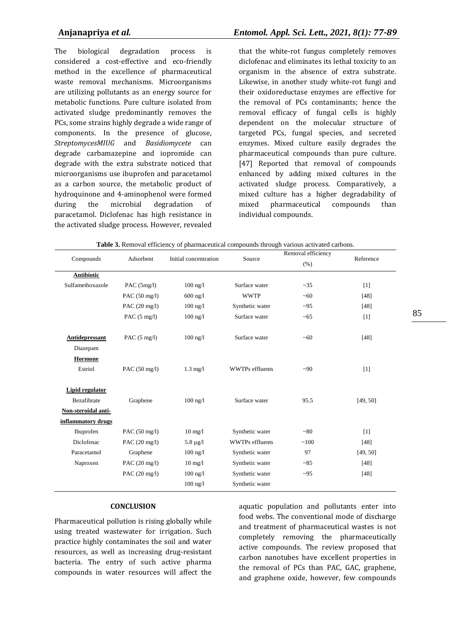The biological degradation process is considered a cost-effective and eco-friendly method in the excellence of pharmaceutical waste removal mechanisms. Microorganisms are utilizing pollutants as an energy source for metabolic functions. Pure culture isolated from activated sludge predominantly removes the PCs, some strains highly degrade a wide range of components. In the presence of glucose, *StreptomycesMIUG* and *Basidiomycete* can degrade carbamazepine and iopromide can degrade with the extra substrate noticed that microorganisms use ibuprofen and paracetamol as a carbon source, the metabolic product of hydroquinone and 4-aminophenol were formed during the microbial degradation of paracetamol. Diclofenac has high resistance in the activated sludge process. However, revealed

that the white-rot fungus completely removes diclofenac and eliminates its lethal toxicity to an organism in the absence of extra substrate. Likewise, in another study white-rot fungi and their oxidoreductase enzymes are effective for the removal of PCs contaminants; hence the removal efficacy of fungal cells is highly dependent on the molecular structure of targeted PCs, fungal species, and secreted enzymes. Mixed culture easily degrades the pharmaceutical compounds than pure culture. [47] Reported that removal of compounds enhanced by adding mixed cultures in the activated sludge process. Comparatively, a mixed culture has a higher degradability of mixed pharmaceutical compounds than individual compounds.

| Compounds           |                         | Initial concentration | Source                 | Removal efficiency |                   |
|---------------------|-------------------------|-----------------------|------------------------|--------------------|-------------------|
|                     | Adsorbent               |                       |                        | (% )               | Reference         |
| Antibiotic          |                         |                       |                        |                    |                   |
| Sulfamethoxazole    | PAC $(5mg/l)$           | $100$ ng/l            | Surface water          | $-35$              | $\lceil 1 \rceil$ |
|                     | PAC $(50 \text{ mg/l})$ | $600$ ng/l            | <b>WWTP</b>            | ~50                | [48]              |
|                     | PAC $(20 \text{ mg/l})$ | $100$ ng/l            | Synthetic water        | $-95$              | $[48]$            |
|                     | PAC $(5 \text{ mg/l})$  | $100$ ng/ $1$         | Surface water          | ~100               | $[1]$             |
| Antidepressant      | PAC $(5 \text{ mg/l})$  | $100$ ng/l            | Surface water          | ~100               | $[48]$            |
| Diazepam            |                         |                       |                        |                    |                   |
| <b>Hormone</b>      |                         |                       |                        |                    |                   |
| Estriol             | PAC (50 mg/l)           | $1.3$ mg/l            | <b>WWTPs</b> effluents | $-90$              | [1]               |
| Lipid regulator     |                         |                       |                        |                    |                   |
| Bezafibrate         | Graphene                | $100$ ng/ $1$         | Surface water          | 95.5               | [49, 50]          |
| Non-steroidal anti- |                         |                       |                        |                    |                   |
| inflammatory drugs  |                         |                       |                        |                    |                   |
| Ibuprofen           | PAC $(50 \text{ mg/l})$ | $10 \text{ mg}/1$     | Synthetic water        | ~80                | $[1]$             |
| Diclofenac          | PAC $(20 \text{ mg/l})$ | $5.8 \mu g/l$         | <b>WWTPs</b> effluents | ~100               | $[48]$            |
| Paracetamol         | Graphene                | $100$ ng/ $1$         | Synthetic water        | 97                 | [49, 50]          |
| Naproxen            | PAC (20 mg/l)           | $10 \text{ mg}/1$     | Synthetic water        | ~185               | $[48]$            |
|                     | PAC (20 mg/l)           | $100$ ng/l            | Synthetic water        | $-95$              | $[48]$            |
|                     |                         | $100$ ng/ $1$         | Synthetic water        |                    |                   |

**Table 3.** Removal efficiency of pharmaceutical compounds through various activated carbons.

#### **CONCLUSION**

Pharmaceutical pollution is rising globally while using treated wastewater for irrigation. Such practice highly contaminates the soil and water resources, as well as increasing drug-resistant bacteria. The entry of such active pharma compounds in water resources will affect the

aquatic population and pollutants enter into food webs. The conventional mode of discharge and treatment of pharmaceutical wastes is not completely removing the pharmaceutically active compounds. The review proposed that carbon nanotubes have excellent properties in the removal of PCs than PAC, GAC, graphene, and graphene oxide, however, few compounds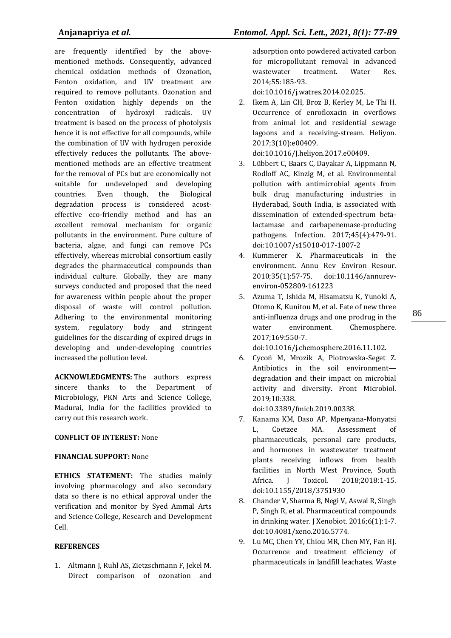are frequently identified by the abovementioned methods. Consequently, advanced chemical oxidation methods of Ozonation, Fenton oxidation, and UV treatment are required to remove pollutants. Ozonation and Fenton oxidation highly depends on the concentration of hydroxyl radicals. UV treatment is based on the process of photolysis hence it is not effective for all compounds, while the combination of UV with hydrogen peroxide effectively reduces the pollutants. The abovementioned methods are an effective treatment for the removal of PCs but are economically not suitable for undeveloped and developing countries. Even though, the Biological degradation process is considered acosteffective eco-friendly method and has an excellent removal mechanism for organic pollutants in the environment. Pure culture of bacteria, algae, and fungi can remove PCs effectively, whereas microbial consortium easily degrades the pharmaceutical compounds than individual culture. Globally, they are many surveys conducted and proposed that the need for awareness within people about the proper disposal of waste will control pollution. Adhering to the environmental monitoring system, regulatory body and stringent guidelines for the discarding of expired drugs in developing and under-developing countries increased the pollution level.

**ACKNOWLEDGMENTS:** The authors express sincere thanks to the Department of Microbiology, PKN Arts and Science College, Madurai, India for the facilities provided to carry out this research work.

### **CONFLICT OF INTEREST:** None

### **FINANCIAL SUPPORT:** None

**ETHICS STATEMENT:** The studies mainly involving pharmacology and also secondary data so there is no ethical approval under the verification and monitor by Syed Ammal Arts and Science College, Research and Development Cell.

#### **REFERENCES**

1. Altmann J, Ruhl AS, Zietzschmann F, Jekel M. Direct comparison of ozonation and adsorption onto powdered activated carbon for micropollutant removal in advanced wastewater treatment. Water Res. 2014;55:185-93.

doi:10.1016/j.watres.2014.02.025.

2. Ikem A, Lin CH, Broz B, Kerley M, Le Thi H. Occurrence of enrofloxacin in overflows from animal lot and residential sewage lagoons and a receiving-stream. Heliyon. 2017;3(10):e00409.

doi:10.1016/J.heliyon.2017.e00409.

- 3. Lübbert C, Baars C, Dayakar A, Lippmann N, Rodloff AC, Kinzig M, et al. Environmental pollution with antimicrobial agents from bulk drug manufacturing industries in Hyderabad, South India, is associated with dissemination of extended-spectrum betalactamase and carbapenemase-producing pathogens. Infection. 2017;45(4):479-91. doi:10.1007/s15010-017-1007-2
- 4. Kummerer K. Pharmaceuticals in the environment. Annu Rev Environ Resour. 2010;35(1):57-75. doi:10.1146/annurevenviron-052809-161223
- 5. Azuma T, Ishida M, Hisamatsu K, Yunoki A, Otomo K, Kunitou M, et al. Fate of new three anti-influenza drugs and one prodrug in the water environment. Chemosphere. 2017;169:550-7.

doi:10.1016/j.chemosphere.2016.11.102.

6. Cycoń M, Mrozik A, Piotrowska-Seget Z. Antibiotics in the soil environment degradation and their impact on microbial activity and diversity. Front Microbiol. 2019;10:338.

doi:10.3389/fmicb.2019.00338.

- 7. Kanama KM, Daso AP, Mpenyana-Monyatsi L, Coetzee MA. Assessment of pharmaceuticals, personal care products, and hormones in wastewater treatment plants receiving inflows from health facilities in North West Province, South Africa. J Toxicol. 2018;2018:1-15. doi:10.1155/2018/3751930
- 8. Chander V, Sharma B, Negi V, Aswal R, Singh P, Singh R, et al. Pharmaceutical compounds in drinking water. J Xenobiot. 2016;6(1):1-7. doi:10.4081/xeno.2016.5774.
- 9. Lu MC, Chen YY, Chiou MR, Chen MY, Fan HJ. Occurrence and treatment efficiency of pharmaceuticals in landfill leachates. Waste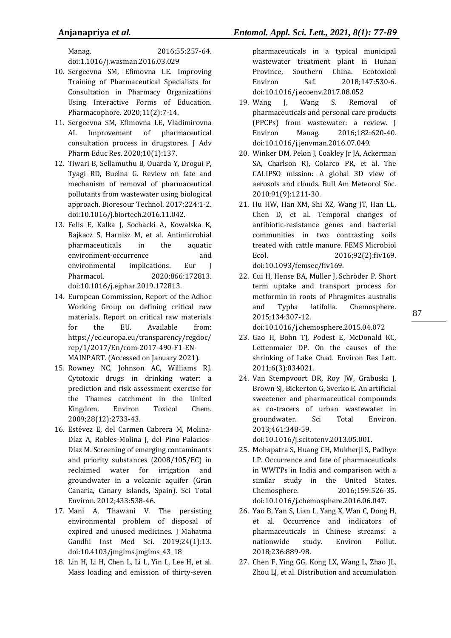Manag. 2016;55:257-64. doi:1.1016/j.wasman.2016.03.029

- 10. Sergeevna SM, Efimovna LE. Improving Training of Pharmaceutical Specialists for Consultation in Pharmacy Organizations Using Interactive Forms of Education. Pharmacophore. 2020;11(2):7-14.
- 11. Sergeevna SM, Efimovna LE, Vladimirovna AI. Improvement of pharmaceutical consultation process in drugstores. J Adv Pharm Educ Res. 2020;10(1):137.
- 12. Tiwari B, Sellamuthu B, Ouarda Y, Drogui P, Tyagi RD, Buelna G. Review on fate and mechanism of removal of pharmaceutical pollutants from wastewater using biological approach. Bioresour Technol. 2017;224:1-2. doi:10.1016/j.biortech.2016.11.042.
- 13. Felis E, Kalka J, Sochacki A, Kowalska K, Bajkacz S, Harnisz M, et al. Antimicrobial pharmaceuticals in the aquatic environment-occurrence and environmental implications. Eur J Pharmacol. 2020;866:172813. doi:10.1016/j.ejphar.2019.172813.
- 14. European Commission, Report of the Adhoc Working Group on defining critical raw materials. Report on critical raw materials for the EU. Available from: https://ec.europa.eu/transparency/regdoc/ rep/1/2017/En/com-2017-490-F1-EN-MAINPART. (Accessed on January 2021).
- 15. Rowney NC, Johnson AC, Williams RJ. Cytotoxic drugs in drinking water: a prediction and risk assessment exercise for the Thames catchment in the United Kingdom. Environ Toxicol Chem. 2009;28(12):2733-43.
- 16. Estévez E, del Carmen Cabrera M, Molina-Díaz A, Robles-Molina J, del Pino Palacios-Díaz M. Screening of emerging contaminants and priority substances (2008/105/EC) in reclaimed water for irrigation and groundwater in a volcanic aquifer (Gran Canaria, Canary Islands, Spain). Sci Total Environ. 2012;433:538-46.
- 17. Mani A, Thawani V. The persisting environmental problem of disposal of expired and unused medicines. J Mahatma Gandhi Inst Med Sci. 2019;24(1):13. doi:10.4103/jmgims.jmgims\_43\_18
- 18. Lin H, Li H, Chen L, Li L, Yin L, Lee H, et al. Mass loading and emission of thirty-seven

pharmaceuticals in a typical municipal wastewater treatment plant in Hunan Province, Southern China. Ecotoxicol Environ Saf. 2018;147:530-6. doi:10.1016/j.ecoenv.2017.08.052

- 19. Wang J, Wang S. Removal of pharmaceuticals and personal care products (PPCPs) from wastewater: a review. J Environ Manag. 2016;182:620-40. doi:10.1016/j.jenvman.2016.07.049.
- 20. Winker DM, Pelon J, Coakley Jr JA, Ackerman SA, Charlson RJ, Colarco PR, et al. The CALIPSO mission: A global 3D view of aerosols and clouds. Bull Am Meteorol Soc. 2010;91(9):1211-30.
- 21. Hu HW, Han XM, Shi XZ, Wang JT, Han LL, Chen D, et al. Temporal changes of antibiotic-resistance genes and bacterial communities in two contrasting soils treated with cattle manure. FEMS Microbiol Ecol. 2016;92(2):fiv169. doi:10.1093/femsec/fiv169.
- 22. Cui H, Hense BA, Müller J, Schröder P. Short term uptake and transport process for metformin in roots of Phragmites australis and Typha latifolia. Chemosphere. 2015;134:307-12.

doi:10.1016/j.chemosphere.2015.04.072

- 23. Gao H, Bohn TJ, Podest E, McDonald KC, Lettenmaier DP. On the causes of the shrinking of Lake Chad. Environ Res Lett. 2011;6(3):034021.
- 24. Van Stempvoort DR, Roy JW, Grabuski J, Brown SJ, Bickerton G, Sverko E. An artificial sweetener and pharmaceutical compounds as co-tracers of urban wastewater in groundwater. Sci Total Environ. 2013;461:348-59.

doi:10.1016/j.scitotenv.2013.05.001.

- 25. Mohapatra S, Huang CH, Mukherji S, Padhye LP. Occurrence and fate of pharmaceuticals in WWTPs in India and comparison with a similar study in the United States. Chemosphere. 2016;159:526-35. doi:10.1016/j.chemosphere.2016.06.047.
- 26. Yao B, Yan S, Lian L, Yang X, Wan C, Dong H, et al. Occurrence and indicators of pharmaceuticals in Chinese streams: a nationwide study. Environ Pollut. 2018;236:889-98.
- 27. Chen F, Ying GG, Kong LX, Wang L, Zhao JL, Zhou LJ, et al. Distribution and accumulation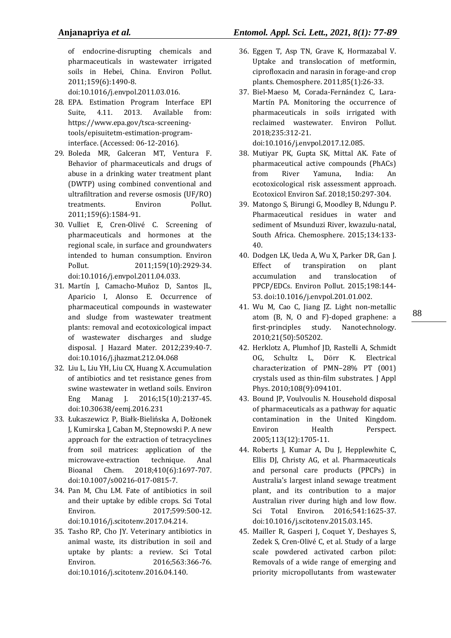of endocrine-disrupting chemicals and pharmaceuticals in wastewater irrigated soils in Hebei, China. Environ Pollut. 2011;159(6):1490-8.

doi:10.1016/j.envpol.2011.03.016.

- 28. EPA. Estimation Program Interface EPI Suite, 4.11. 2013. Available from: https://www.epa.gov/tsca-screeningtools/episuitetm-estimation-programinterface. (Accessed: 06-12-2016).
- 29. Boleda MR, Galceran MT, Ventura F. Behavior of pharmaceuticals and drugs of abuse in a drinking water treatment plant (DWTP) using combined conventional and ultrafiltration and reverse osmosis (UF/RO) treatments. Environ Pollut. 2011;159(6):1584-91.
- 30. Vulliet E, Cren-Olivé C. Screening of pharmaceuticals and hormones at the regional scale, in surface and groundwaters intended to human consumption. Environ Pollut. 2011;159(10):2929-34. doi:10.1016/j.envpol.2011.04.033.
- 31. Martín J, Camacho-Muñoz D, Santos JL, Aparicio I, Alonso E. Occurrence of pharmaceutical compounds in wastewater and sludge from wastewater treatment plants: removal and ecotoxicological impact of wastewater discharges and sludge disposal. J Hazard Mater. 2012;239:40-7. doi:10.1016/j.jhazmat.212.04.068
- 32. Liu L, Liu YH, Liu CX, Huang X. Accumulation of antibiotics and tet resistance genes from swine wastewater in wetland soils. Environ Eng Manag J. 2016;15(10):2137-45. doi:10.30638/eemj.2016.231
- 33. Łukaszewicz P, Białk-Bielińska A, Dołżonek J, Kumirska J, Caban M, Stepnowski P. A new approach for the extraction of tetracyclines from soil matrices: application of the microwave-extraction technique. Anal Bioanal Chem. 2018;410(6):1697-707. doi:10.1007/s00216-017-0815-7.
- 34. Pan M, Chu LM. Fate of antibiotics in soil and their uptake by edible crops. Sci Total Environ. 2017;599:500-12. doi:10.1016/j.scitotenv.2017.04.214.
- 35. Tasho RP, Cho JY. Veterinary antibiotics in animal waste, its distribution in soil and uptake by plants: a review. Sci Total Environ. 2016;563:366-76. doi:10.1016/j.scitotenv.2016.04.140.
- 36. Eggen T, Asp TN, Grave K, Hormazabal V. Uptake and translocation of metformin, ciprofloxacin and narasin in forage-and crop plants. Chemosphere. 2011;85(1):26-33.
- 37. Biel-Maeso M, Corada-Fernández C, Lara-Martín PA. Monitoring the occurrence of pharmaceuticals in soils irrigated with reclaimed wastewater. Environ Pollut. 2018;235:312-21. doi:10.1016/j.envpol.2017.12.085.
- 38. Mutiyar PK, Gupta SK, Mittal AK. Fate of pharmaceutical active compounds (PhACs) from River Yamuna, India: An ecotoxicological risk assessment approach. Ecotoxicol Environ Saf. 2018;150:297-304.
- 39. Matongo S, Birungi G, Moodley B, Ndungu P. Pharmaceutical residues in water and sediment of Msunduzi River, kwazulu-natal, South Africa. Chemosphere. 2015;134:133- 40.
- 40. Dodgen LK, Ueda A, Wu X, Parker DR, Gan J. Effect of transpiration on plant accumulation and translocation of PPCP/EDCs. Environ Pollut. 2015;198:144- 53. doi:10.1016/j.envpol.201.01.002.
- 41. Wu M, Cao C, Jiang JZ. Light non-metallic atom (B, N, O and F)-doped graphene: a first-principles study. Nanotechnology. 2010;21(50):505202.
- 42. Herklotz A, Plumhof JD, Rastelli A, Schmidt OG, Schultz L, Dörr K. Electrical characterization of PMN–28% PT (001) crystals used as thin-film substrates. J Appl Phys. 2010;108(9):094101.
- 43. Bound JP, Voulvoulis N. Household disposal of pharmaceuticals as a pathway for aquatic contamination in the United Kingdom. Environ Health Perspect. 2005;113(12):1705-11.
- 44. Roberts J, Kumar A, Du J, Hepplewhite C, Ellis DJ, Christy AG, et al. Pharmaceuticals and personal care products (PPCPs) in Australia's largest inland sewage treatment plant, and its contribution to a major Australian river during high and low flow. Sci Total Environ. 2016;541:1625-37. doi:10.1016/j.scitotenv.2015.03.145.
- 45. Mailler R, Gasperi J, Coquet Y, Deshayes S, Zedek S, Cren-Olivé C, et al. Study of a large scale powdered activated carbon pilot: Removals of a wide range of emerging and priority micropollutants from wastewater